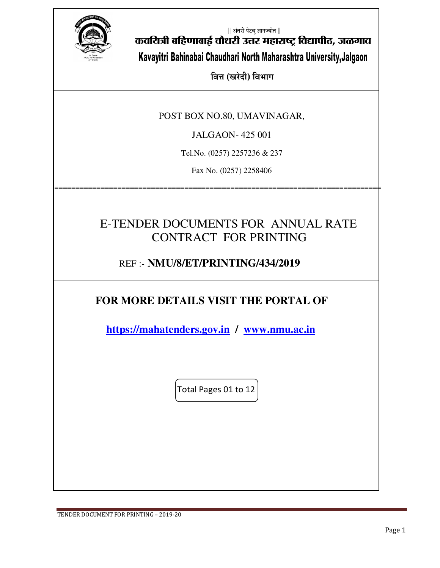

|| अंतरी पेटवू ज्ञानज्योत ||

कवयित्री बहिणाबाई चौधरी उत्तर महाराष्ट्र विद्यापीठ, जळगाव

Kavayitri Bahinabai Chaudhari North Maharashtra University,Jalgaon

**बित्त (खरेदी) विभाग** 

POST BOX NO.80, UMAVINAGAR,

JALGAON- 425 001

Tel.No. (0257) 2257236 & 237

Fax No. (0257) 2258406

==============================================================================

## E-TENDER DOCUMENTS FOR ANNUAL RATE CONTRACT FOR PRINTING

## REF :- **NMU/8/ET/PRINTING/434/2019**

## **FOR MORE DETAILS VISIT THE PORTAL OF**

 **https://mahatenders.gov.in / www.nmu.ac.in** 

Total Pages 01 to 12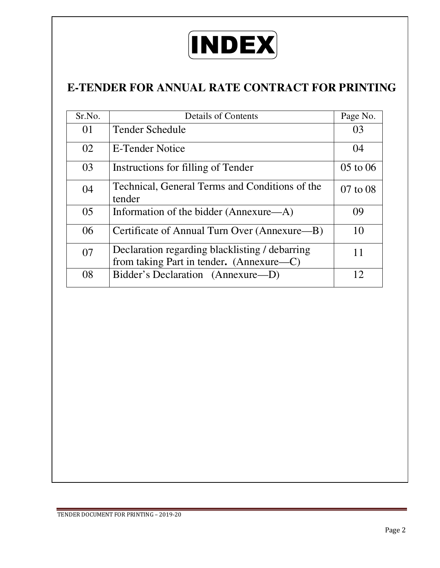

## **E-TENDER FOR ANNUAL RATE CONTRACT FOR PRINTING**

| Sr.No. | <b>Details of Contents</b>                                                                 | Page No.     |
|--------|--------------------------------------------------------------------------------------------|--------------|
|        |                                                                                            |              |
| 01     | <b>Tender Schedule</b>                                                                     | 03           |
| 02     | E-Tender Notice                                                                            | 04           |
| 03     | Instructions for filling of Tender                                                         | $05$ to $06$ |
| 04     | Technical, General Terms and Conditions of the<br>tender                                   | 07 to 08     |
| 05     | Information of the bidder (Annexure—A)                                                     | 09           |
| 06     | Certificate of Annual Turn Over (Annexure—B)                                               | 10           |
| 07     | Declaration regarding blacklisting / debarring<br>from taking Part in tender. (Annexure—C) |              |
| 08     | Bidder's Declaration (Annexure-D)                                                          | 12           |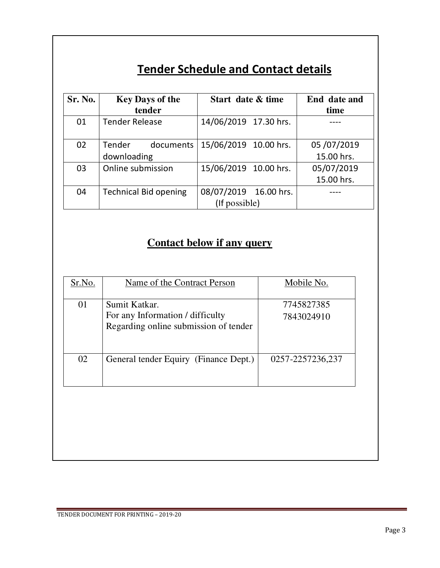# **Tender Schedule and Contact details**

| Sr. No. | <b>Key Days of the</b><br>tender | Start date & time     | End date and<br>time |
|---------|----------------------------------|-----------------------|----------------------|
| 01      | <b>Tender Release</b>            | 14/06/2019 17.30 hrs. |                      |
| 02      | documents<br>Tender              | 15/06/2019 10.00 hrs. | 05/07/2019           |
|         | downloading                      |                       | 15.00 hrs.           |
| 03      | Online submission                | 15/06/2019 10.00 hrs. | 05/07/2019           |
|         |                                  |                       | 15.00 hrs.           |
| 04      | <b>Technical Bid opening</b>     | 08/07/2019 16.00 hrs. |                      |
|         |                                  | (If possible)         |                      |

## **Contact below if any query**

| Name of the Contract Person                                                                | Mobile No.               |
|--------------------------------------------------------------------------------------------|--------------------------|
| Sumit Katkar.<br>For any Information / difficulty<br>Regarding online submission of tender | 7745827385<br>7843024910 |
| General tender Equiry (Finance Dept.)                                                      | 0257-2257236,237         |
|                                                                                            |                          |
|                                                                                            |                          |
|                                                                                            |                          |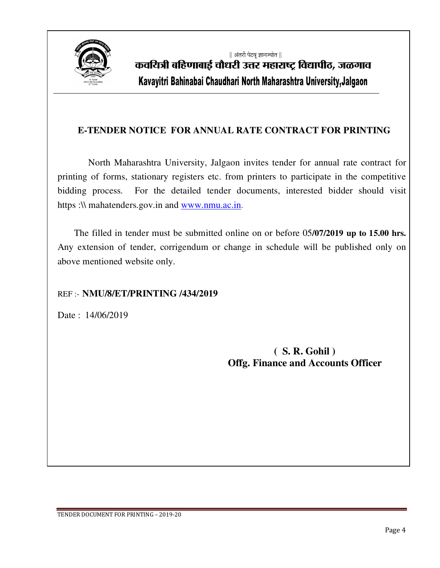

|| अंतरी पेटवू ज्ञानज्योत || कवयित्री बहिणाबाई चौधरी उत्तर महाराष्ट्र विद्यापीठ, जळगाव Kavayitri Bahinabai Chaudhari North Maharashtra University,Jalgaon

### **E-TENDER NOTICE FOR ANNUAL RATE CONTRACT FOR PRINTING**

 North Maharashtra University, Jalgaon invites tender for annual rate contract for printing of forms, stationary registers etc. from printers to participate in the competitive bidding process. For the detailed tender documents, interested bidder should visit https :\\ mahatenders.gov.in and www.nmu.ac.in.

 The filled in tender must be submitted online on or before 05**/07/2019 up to 15.00 hrs.** Any extension of tender, corrigendum or change in schedule will be published only on above mentioned website only.

#### REF :- **NMU/8/ET/PRINTING /434/2019**

Date: 14/06/2019

**( S. R. Gohil ) Offg. Finance and Accounts Officer**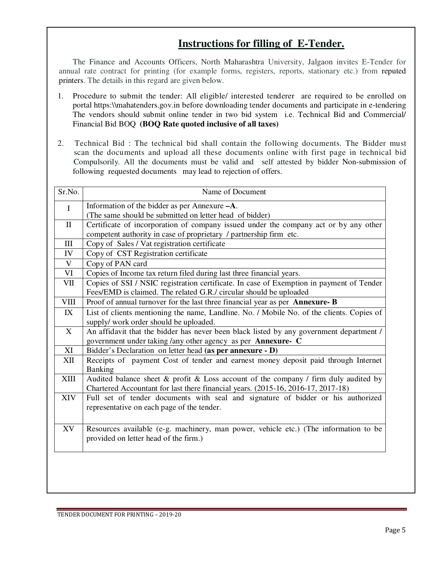### **Instructions for filling of E-Tender.**

 The Finance and Accounts Officers, North Maharashtra University, Jalgaon invites E-Tender for annual rate contract for printing (for example forms, registers, reports, stationary etc.) from reputed printers. The details in this regard are given below.

- 1. Procedure to submit the tender: All eligible/ interested tenderer are required to be enrolled on portal https:\\mahatenders.gov.in before downloading tender documents and participate in e-tendering The vendors should submit online tender in two bid system i.e. Technical Bid and Commercial/ Financial Bid BOQ **(BOQ Rate quoted inclusive of all taxes)**
- 2. Technical Bid : The technical bid shall contain the following documents. The Bidder must scan the documents and upload all these documents online with first page in technical bid Compulsorily. All the documents must be valid and self attested by bidder Non-submission of following requested documents may lead to rejection of offers.

| Sr.No.       | Name of Document                                                                                                                                                        |  |  |
|--------------|-------------------------------------------------------------------------------------------------------------------------------------------------------------------------|--|--|
| $\mathbf{I}$ | Information of the bidder as per Annexure $-A$ .                                                                                                                        |  |  |
|              | (The same should be submitted on letter head of bidder)                                                                                                                 |  |  |
| $\mathbf{I}$ | Certificate of incorporation of company issued under the company act or by any other                                                                                    |  |  |
|              | competent authority in case of proprietary / partnership firm etc.                                                                                                      |  |  |
| $\rm III$    | Copy of Sales / Vat registration certificate                                                                                                                            |  |  |
| IV           | Copy of CST Registration certificate                                                                                                                                    |  |  |
| $\mathbf V$  | Copy of PAN card                                                                                                                                                        |  |  |
| VI           | Copies of Income tax return filed during last three financial years.                                                                                                    |  |  |
| VII          | Copies of SSI / NSIC registration certificate. In case of Exemption in payment of Tender                                                                                |  |  |
|              | Fees/EMD is claimed. The related G.R./ circular should be uploaded                                                                                                      |  |  |
| <b>VIII</b>  | Proof of annual turnover for the last three financial year as per Annexure-B                                                                                            |  |  |
| IX           | List of clients mentioning the name, Landline. No. / Mobile No. of the clients. Copies of                                                                               |  |  |
|              | supply/ work order should be uploaded.                                                                                                                                  |  |  |
| X            | An affidavit that the bidder has never been black listed by any government department /                                                                                 |  |  |
|              | government under taking /any other agency as per Annexure- C                                                                                                            |  |  |
| XI           | Bidder's Declaration on letter head (as per annexure - D)                                                                                                               |  |  |
| XII          | Receipts of payment Cost of tender and earnest money deposit paid through Internet<br><b>Banking</b>                                                                    |  |  |
| XIII         | Audited balance sheet & profit & Loss account of the company / firm duly audited by<br>Chartered Accountant for last there financial years. (2015-16, 2016-17, 2017-18) |  |  |
| <b>XIV</b>   | Full set of tender documents with seal and signature of bidder or his authorized<br>representative on each page of the tender.                                          |  |  |
| XV           | Resources available (e-g. machinery, man power, vehicle etc.) (The information to be<br>provided on letter head of the firm.)                                           |  |  |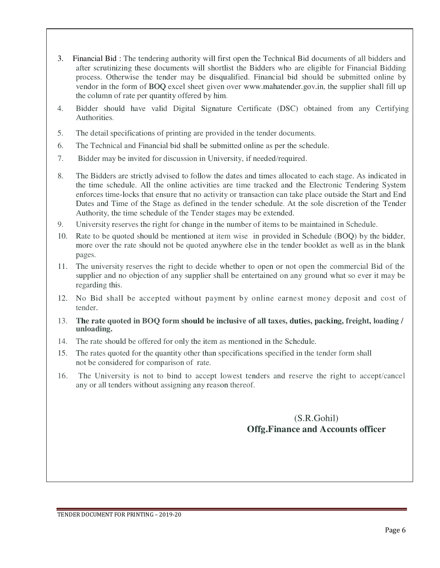- 3. Financial Bid : The tendering authority will first open the Technical Bid documents of all bidders and after scrutinizing these documents will shortlist the Bidders who are eligible for Financial Bidding process. Otherwise the tender may be disqualified. Financial bid should be submitted online by vendor in the form of BOQ excel sheet given over www.mahatender.gov.in, the supplier shall fill up the column of rate per quantity offered by him.
- 4. Bidder should have valid Digital Signature Certificate (DSC) obtained from any Certifying Authorities.
- 5. The detail specifications of printing are provided in the tender documents.
- 6. The Technical and Financial bid shall be submitted online as per the schedule.
- 7. Bidder may be invited for discussion in University, if needed/required.
- 8. The Bidders are strictly advised to follow the dates and times allocated to each stage. As indicated in the time schedule. All the online activities are time tracked and the Electronic Tendering System enforces time-locks that ensure that no activity or transaction can take place outside the Start and End Dates and Time of the Stage as defined in the tender schedule. At the sole discretion of the Tender Authority, the time schedule of the Tender stages may be extended.
- 9. University reserves the right for change in the number of items to be maintained in Schedule.
- 10. Rate to be quoted should be mentioned at item wise in provided in Schedule (BOQ) by the bidder, more over the rate should not be quoted anywhere else in the tender booklet as well as in the blank pages.
- 11. The university reserves the right to decide whether to open or not open the commercial Bid of the supplier and no objection of any supplier shall be entertained on any ground what so ever it may be regarding this.
- 12. No Bid shall be accepted without payment by online earnest money deposit and cost of tender.
- 13. **The rate quoted in BOQ form should be inclusive of all taxes, duties, packing, freight, loading / unloading.**
- 14. The rate should be offered for only the item as mentioned in the Schedule.
- 15. The rates quoted for the quantity other than specifications specified in the tender form shall not be considered for comparison of rate.
- 16. The University is not to bind to accept lowest tenders and reserve the right to accept/cancel any or all tenders without assigning any reason thereof.

### (S.R.Gohil) **Offg.Finance and Accounts officer**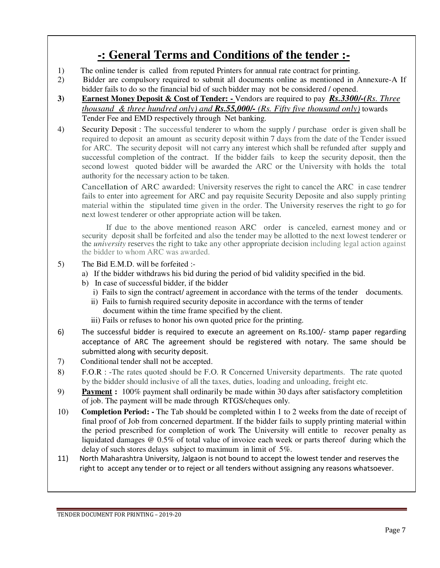## **-: General Terms and Conditions of the tender :-**

- 1) The online tender is called from reputed Printers for annual rate contract for printing.
- 2) Bidder are compulsory required to submit all documents online as mentioned in Annexure-A If bidder fails to do so the financial bid of such bidder may not be considered / opened.
- **3) Earnest Money Deposit & Cost of Tender:** Vendors are required to pay *Rs.3300/-(Rs. Three thousand & three hundred only) and Rs.55,000/- (Rs. Fifty five thousand only)* towards Tender Fee and EMD respectively through Net banking.
- 4) Security Deposit : The successful tenderer to whom the supply / purchase order is given shall be required to deposit an amount as security deposit within 7 days from the date of the Tender issued for ARC. The security deposit will not carry any interest which shall be refunded after supply and successful completion of the contract. If the bidder fails to keep the security deposit, then the second lowest quoted bidder will be awarded the ARC or the University with holds the total authority for the necessary action to be taken.

Cancellation of ARC awarded: University reserves the right to cancel the ARC in case tendrer fails to enter into agreement for ARC and pay requisite Security Deposite and also supply printing material within the stipulated time given in the order. The University reserves the right to go for next lowest tenderer or other appropriate action will be taken.

If due to the above mentioned reason ARC order is canceled, earnest money and or security deposit shall be forfeited and also the tender may be allotted to the next lowest tenderer or the *university* reserves the right to take any other appropriate decision including legal action against the bidder to whom ARC was awarded.

5) The Bid E.M.D. will be forfeited :-

- a) If the bidder withdraws his bid during the period of bid validity specified in the bid.
- b) In case of successful bidder, if the bidder
	- i) Fails to sign the contract/ agreement in accordance with the terms of the tender documents.
	- ii) Fails to furnish required security deposite in accordance with the terms of tender document within the time frame specified by the client.
	- iii) Fails or refuses to honor his own quoted price for the printing.
- 6) The successful bidder is required to execute an agreement on Rs.100/- stamp paper regarding acceptance of ARC The agreement should be registered with notary. The same should be submitted along with security deposit.
- 7) Conditional tender shall not be accepted.
- 8) F.O.R : -The rates quoted should be F.O. R Concerned University departments. The rate quoted by the bidder should inclusive of all the taxes, duties, loading and unloading, freight etc.
- 9) **Payment :** 100% payment shall ordinarily be made within 30 days after satisfactory completition of job. The payment will be made through RTGS/cheques only.
- 10) **Completion Period:** The Tab should be completed within 1 to 2 weeks from the date of receipt of final proof of Job from concerned department. If the bidder fails to supply printing material within the period prescribed for completion of work The University will entitle to recover penalty as liquidated damages @ 0.5% of total value of invoice each week or parts thereof during which the delay of such stores delays subject to maximum in limit of 5%.
- 11) North Maharashtra University, Jalgaon is not bound to accept the lowest tender and reserves the right to accept any tender or to reject or all tenders without assigning any reasons whatsoever.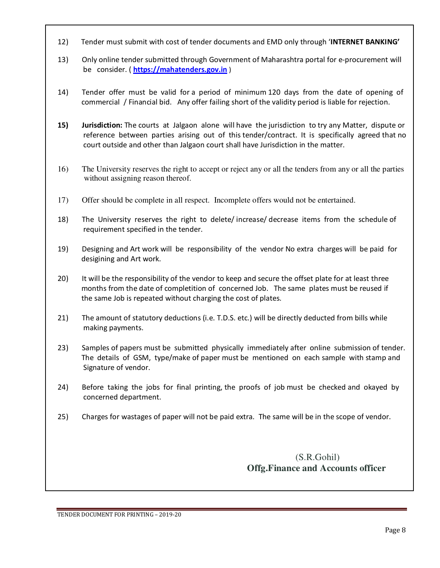- 12) Tender must submit with cost of tender documents and EMD only through '**INTERNET BANKING'**
- 13) Only online tender submitted through Government of Maharashtra portal for e-procurement will be consider. ( **https://mahatenders.gov.in** )
- 14) Tender offer must be valid for a period of minimum 120 days from the date of opening of commercial / Financial bid. Any offer failing short of the validity period is liable for rejection.
- **15) Jurisdiction:** The courts at Jalgaon alone will have the jurisdiction to try any Matter, dispute or reference between parties arising out of this tender/contract. It is specifically agreed that no court outside and other than Jalgaon court shall have Jurisdiction in the matter.
- 16) The University reserves the right to accept or reject any or all the tenders from any or all the parties without assigning reason thereof.
- 17) Offer should be complete in all respect. Incomplete offers would not be entertained.
- 18) The University reserves the right to delete/ increase/ decrease items from the schedule of requirement specified in the tender.
- 19) Designing and Art work will be responsibility of the vendor No extra charges will be paid for desigining and Art work.
- 20) It will be the responsibility of the vendor to keep and secure the offset plate for at least three months from the date of completition of concerned Job. The same plates must be reused if the same Job is repeated without charging the cost of plates.
- 21) The amount of statutory deductions (i.e. T.D.S. etc.) will be directly deducted from bills while making payments.
- 23) Samples of papers must be submitted physically immediately after online submission of tender. The details of GSM, type/make of paper must be mentioned on each sample with stamp and Signature of vendor.
- 24) Before taking the jobs for final printing, the proofs of job must be checked and okayed by concerned department.
- 25) Charges for wastages of paper will not be paid extra. The same will be in the scope of vendor.

### (S.R.Gohil) **Offg.Finance and Accounts officer**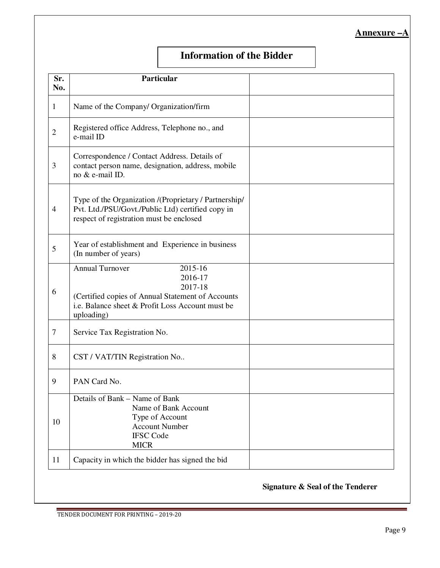#### **Annexure –A**

### **Information of the Bidder**

| Sr.<br>No.     | Particular                                                                                                                                                                     |  |
|----------------|--------------------------------------------------------------------------------------------------------------------------------------------------------------------------------|--|
| 1              | Name of the Company/ Organization/firm                                                                                                                                         |  |
| 2              | Registered office Address, Telephone no., and<br>e-mail ID                                                                                                                     |  |
| 3              | Correspondence / Contact Address. Details of<br>contact person name, designation, address, mobile<br>no & e-mail ID.                                                           |  |
| $\overline{4}$ | Type of the Organization /(Proprietary / Partnership/<br>Pvt. Ltd./PSU/Govt./Public Ltd) certified copy in<br>respect of registration must be enclosed                         |  |
| 5              | Year of establishment and Experience in business<br>(In number of years)                                                                                                       |  |
| 6              | <b>Annual Turnover</b><br>2015-16<br>2016-17<br>2017-18<br>(Certified copies of Annual Statement of Accounts<br>i.e. Balance sheet & Profit Loss Account must be<br>uploading) |  |
| 7              | Service Tax Registration No.                                                                                                                                                   |  |
| 8              | CST / VAT/TIN Registration No                                                                                                                                                  |  |
| 9              | PAN Card No.                                                                                                                                                                   |  |
| 10             | Details of Bank - Name of Bank<br>Name of Bank Account<br>Type of Account<br><b>Account Number</b><br><b>IFSC Code</b><br><b>MICR</b>                                          |  |
| 11             | Capacity in which the bidder has signed the bid                                                                                                                                |  |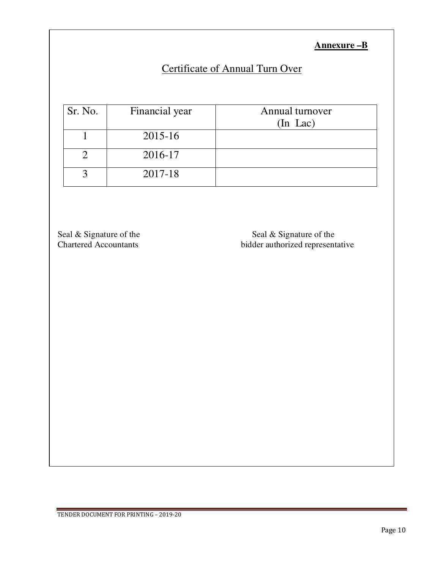**Annexure –B**

## Certificate of Annual Turn Over

| Sr. No. | Financial year | Annual turnover<br>$(In$ $Lac)$ |
|---------|----------------|---------------------------------|
|         | 2015-16        |                                 |
|         | 2016-17        |                                 |
|         | 2017-18        |                                 |

Seal & Signature of the Seal & Signature of the Seal & Signature of the Seal & Signature of the Seal & Signature of the Seal & Signature of the Seal & Signature of the Seal & Signature of the Seal & Signature of the Seal & bidder authorized representative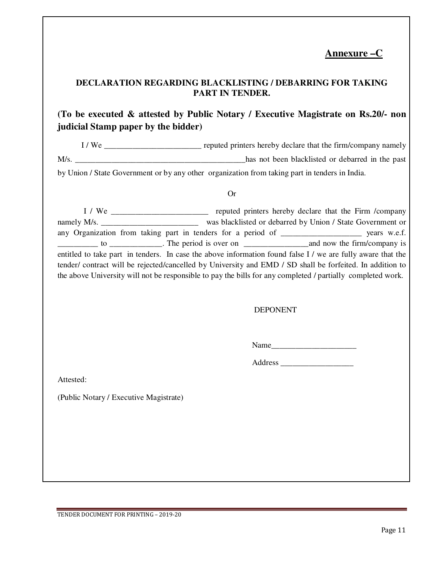### **Annexure –C**

#### **DECLARATION REGARDING BLACKLISTING / DEBARRING FOR TAKING PART IN TENDER.**

### **(To be executed & attested by Public Notary / Executive Magistrate on Rs.20/- non judicial Stamp paper by the bidder)**

I / We \_\_\_\_\_\_\_\_\_\_\_\_\_\_\_\_\_\_\_\_\_\_\_\_ reputed printers hereby declare that the firm/company namely M/s. by Union / State Government or by any other organization from taking part in tenders in India.

#### Or

 I / We \_\_\_\_\_\_\_\_\_\_\_\_\_\_\_\_\_\_\_\_\_\_\_\_ reputed printers hereby declare that the Firm /company namely M/s. \_\_\_\_\_\_\_\_\_\_\_\_\_\_\_\_\_\_\_\_\_\_\_\_\_\_\_\_\_\_ was blacklisted or debarred by Union / State Government or any Organization from taking part in tenders for a period of \_\_\_\_\_\_\_\_\_\_\_\_\_\_\_\_\_\_\_\_\_\_\_\_\_\_ years w.e.f. \_\_\_\_\_\_\_\_\_\_ to \_\_\_\_\_\_\_\_\_\_\_\_\_. The period is over on \_\_\_\_\_\_\_\_\_\_\_\_\_\_\_\_and now the firm/company is entitled to take part in tenders. In case the above information found false I / we are fully aware that the tender/ contract will be rejected/cancelled by University and EMD / SD shall be forfeited. In addition to the above University will not be responsible to pay the bills for any completed / partially completed work.

#### DEPONENT

Name

Address \_\_\_\_\_\_\_\_\_\_\_\_\_\_\_\_\_\_

Attested:

(Public Notary / Executive Magistrate)